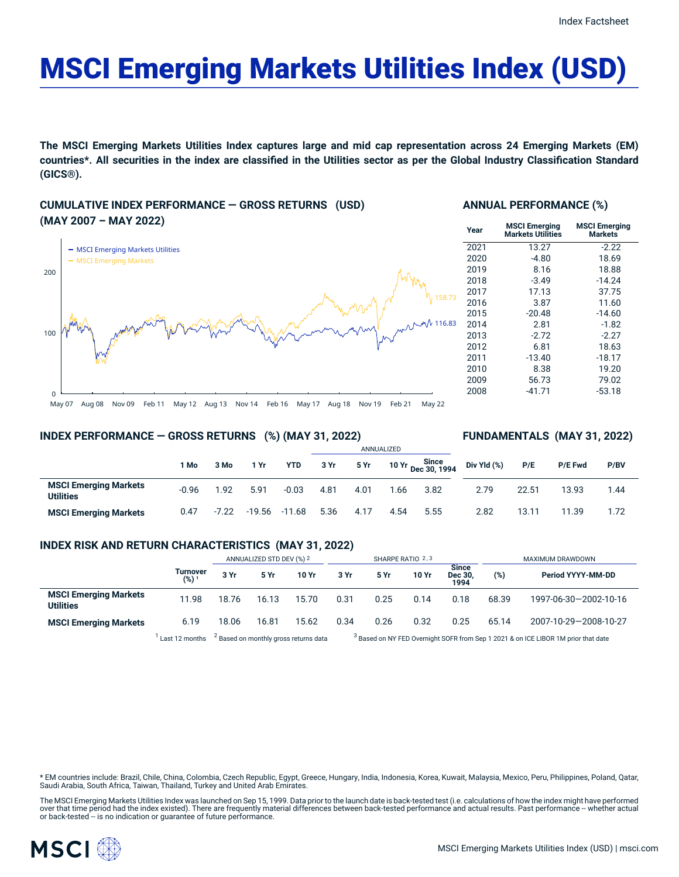# MSCI Emerging Markets Utilities Index (USD)

The MSCI Emerging Markets Utilities Index captures large and mid cap representation across 24 Emerging Markets (EM) countries\*. All securities in the index are classified in the Utilities sector as per the Global Industry Classification Standard **(GICS®).**

# **CUMULATIVE INDEX PERFORMANCE — GROSS RETURNS (USD) (MAY 2007 – MAY 2022)**



#### **ANNUAL PERFORMANCE (%)**

| <b>MSCI Emerging</b><br>Markets Utilities | <b>MSCI Emerging</b><br><b>Markets</b> |
|-------------------------------------------|----------------------------------------|
| 13.27                                     | $-2.22$                                |
| $-4.80$                                   | 18.69                                  |
| 8.16                                      | 18.88                                  |
| $-3.49$                                   | $-14.24$                               |
| 17.13                                     | 37.75                                  |
| 3.87                                      | 11.60                                  |
| $-20.48$                                  | $-14.60$                               |
| 2.81                                      | $-1.82$                                |
| $-2.72$                                   | $-2.27$                                |
| 6.81                                      | 18.63                                  |
| $-13.40$                                  | $-18.17$                               |
| 8.38                                      | 19.20                                  |
| 56.73                                     | 79.02                                  |
| $-41.71$                                  | -53.18                                 |
|                                           |                                        |

#### **INDEX PERFORMANCE — GROSS RETURNS (%) (MAY 31, 2022)**

# ANNUALIZED **FUNDAMENTALS (MAY 31, 2022)**

|                                           | l Mo    | 3 Mo    | 1 Yr   | <b>YTD</b> | 3 Yr | 5 Yr |      | Since<br>10 Yr Dec 30, 1994 | Div Yld $(\%)$ | P/E   | P/E Fwd | P/BV |
|-------------------------------------------|---------|---------|--------|------------|------|------|------|-----------------------------|----------------|-------|---------|------|
| <b>MSCI Emerging Markets</b><br>Utilities | $-0.96$ | 1.92    | 5.91   | $-0.03$    | 4.81 | 4.01 | .66  | 3.82                        | 2.79           | 22.51 | 13.93   | 1.44 |
| <b>MSCI Emerging Markets</b>              | 0.47    | $-7.22$ | -19.56 | -11.68     | 5.36 | 4.17 | 4.54 | 5.55                        | 2.82           | 13.11 | 1.39    | 1.72 |

#### **INDEX RISK AND RETURN CHARACTERISTICS (MAY 31, 2022)**

|                                                  |                     | ANNUALIZED STD DEV (%) 2                         |       |       | SHARPE RATIO 2,3 |      |       |                                 | MAXIMUM DRAWDOWN |                                                                                               |  |
|--------------------------------------------------|---------------------|--------------------------------------------------|-------|-------|------------------|------|-------|---------------------------------|------------------|-----------------------------------------------------------------------------------------------|--|
|                                                  | Turnover<br>$(%)^*$ | 3 Yr                                             | 5 Yr  | 10 Yr | 3 Yr             | 5 Yr | 10 Yr | <b>Since</b><br>Dec 30,<br>1994 | (%)              | Period YYYY-MM-DD                                                                             |  |
| <b>MSCI Emerging Markets</b><br><b>Utilities</b> | 11.98               | 18.76                                            | 16.13 | 15.70 | 0.31             | 0.25 | 0.14  | 0.18                            | 68.39            | 1997-06-30-2002-10-16                                                                         |  |
| <b>MSCI Emerging Markets</b>                     | 6.19                | 18.06                                            | 16.81 | 15.62 | 0.34             | 0.26 | 0.32  | 0.25                            | 65.14            | 2007-10-29-2008-10-27                                                                         |  |
|                                                  | Last 12 months      | <sup>2</sup> Based on monthly gross returns data |       |       |                  |      |       |                                 |                  | <sup>3</sup> Based on NY FED Overnight SOFR from Sep 1 2021 & on ICE LIBOR 1M prior that date |  |

Based on NY FED Overnight SOFR from Sep 1 2021 & on ICE LIBOR 1M prior that date

\* EM countries include: Brazil, Chile, China, Colombia, Czech Republic, Egypt, Greece, Hungary, India, Indonesia, Korea, Kuwait, Malaysia, Mexico, Peru, Philippines, Poland, Qatar, Saudi Arabia, South Africa, Taiwan, Thailand, Turkey and United Arab Emirates.

The MSCI Emerging Markets Utilities Index was launched on Sep 15, 1999. Data prior to the launch date is back-tested test (i.e. calculations of how the index might have performed over that time period had the index existed). There are frequently material differences between back-tested performance and actual results. Past performance – whether actual<br>or back-tested – is no indication or guarantee o

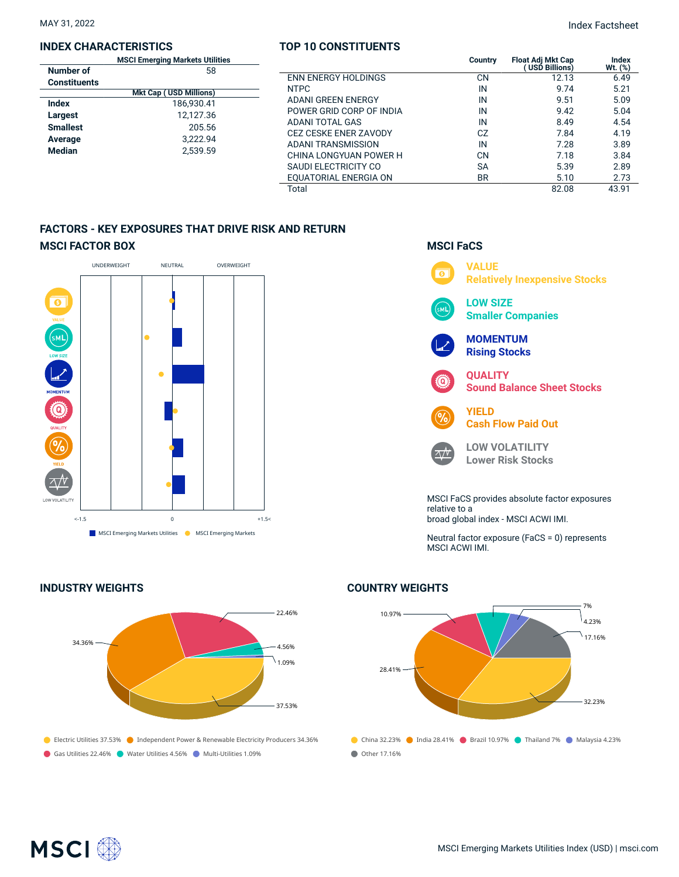#### **INDEX CHARACTERISTICS**

|                 | <b>MSCI Emerging Markets Utilities</b> |  |  |  |  |  |
|-----------------|----------------------------------------|--|--|--|--|--|
| Number of       | 58                                     |  |  |  |  |  |
| Constituents    |                                        |  |  |  |  |  |
|                 | <b>Mkt Cap (USD Millions)</b>          |  |  |  |  |  |
| Index           | 186,930.41                             |  |  |  |  |  |
| Largest         | 12.127.36                              |  |  |  |  |  |
| <b>Smallest</b> | 205.56                                 |  |  |  |  |  |
| Average         | 3.222.94                               |  |  |  |  |  |
| <b>Median</b>   | 2.539.59                               |  |  |  |  |  |
|                 |                                        |  |  |  |  |  |

#### **TOP 10 CONSTITUENTS**

| <b>MSCI Emerging Markets Utilities</b><br>58 |                              | <b>Country</b> | <b>Float Adi Mkt Cap</b><br>USD Billions) | Index<br>Wt. (%) |
|----------------------------------------------|------------------------------|----------------|-------------------------------------------|------------------|
|                                              | <b>ENN ENERGY HOLDINGS</b>   | CN             | 12.13                                     | 6.49             |
| <b>S</b><br><b>Mkt Cap (USD Millions)</b>    | <b>NTPC</b>                  | IN             | 9.74                                      | 5.21             |
| 186.930.41                                   | ADANI GREEN ENERGY           | IN             | 9.51                                      | 5.09             |
| 12.127.36                                    | POWER GRID CORP OF INDIA     | IN             | 9.42                                      | 5.04             |
| 205.56                                       | ADANI TOTAL GAS              | IN             | 8.49                                      | 4.54             |
|                                              | <b>CEZ CESKE ENER ZAVODY</b> | CZ             | 7.84                                      | 4.19             |
| 3.222.94                                     | <b>ADANI TRANSMISSION</b>    | IN             | 7.28                                      | 3.89             |
| 2.539.59                                     | CHINA LONGYUAN POWER H       | CN             | 7.18                                      | 3.84             |
|                                              | <b>SAUDI ELECTRICITY CO</b>  | <b>SA</b>      | 5.39                                      | 2.89             |
|                                              | EOUATORIAL ENERGIA ON        | <b>BR</b>      | 5.10                                      | 2.73             |
|                                              | Total                        |                | 82.08                                     | 43.91            |

# **FACTORS - KEY EXPOSURES THAT DRIVE RISK AND RETURN MSCI FACTOR BOX**



## **INDUSTRY WEIGHTS**





**LOW VOLATILITY Lower Risk Stocks**

 $\wedge /V$ 

MSCI FaCS provides absolute factor exposures relative to a broad global index - MSCI ACWI IMI.

Neutral factor exposure (FaCS = 0) represents MSCI ACWI IMI.

# **COUNTRY WEIGHTS**